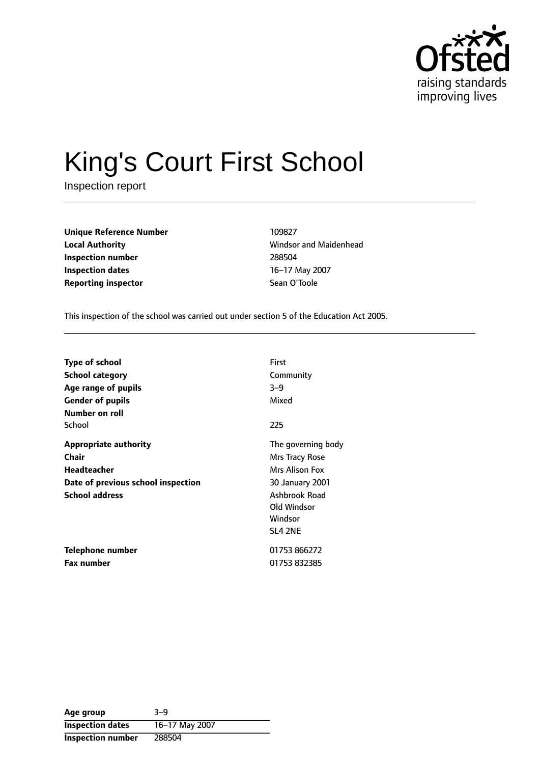

# King's Court First School

Inspection report

| <b>Unique Reference Number</b> | 109827       |
|--------------------------------|--------------|
| <b>Local Authority</b>         | Windsor and  |
| Inspection number              | 288504       |
| <b>Inspection dates</b>        | 16-17 May 20 |
| <b>Reporting inspector</b>     | Sean O'Toole |

**Windsor and Maidenhead Inspection number** 288504 **16-17 May 2007** 

This inspection of the school was carried out under section 5 of the Education Act 2005.

| <b>Type of school</b><br>School category<br>Age range of pupils<br><b>Gender of pupils</b>                                 | First<br>Community<br>$3 - 9$<br>Mixed                                                                                          |
|----------------------------------------------------------------------------------------------------------------------------|---------------------------------------------------------------------------------------------------------------------------------|
| Number on roll<br>School                                                                                                   | 225                                                                                                                             |
| <b>Appropriate authority</b><br>Chair<br><b>Headteacher</b><br>Date of previous school inspection<br><b>School address</b> | The governing body<br>Mrs Tracy Rose<br>Mrs Alison Fox<br>30 January 2001<br>Ashbrook Road<br>Old Windsor<br>Windsor<br>SL4 2NE |
| Telephone number<br><b>Fax number</b>                                                                                      | 01753 866272<br>01753 832385                                                                                                    |
|                                                                                                                            |                                                                                                                                 |

| Age group               | $3 - 9$        |
|-------------------------|----------------|
| <b>Inspection dates</b> | 16-17 May 2007 |
| Inspection number       | 288504         |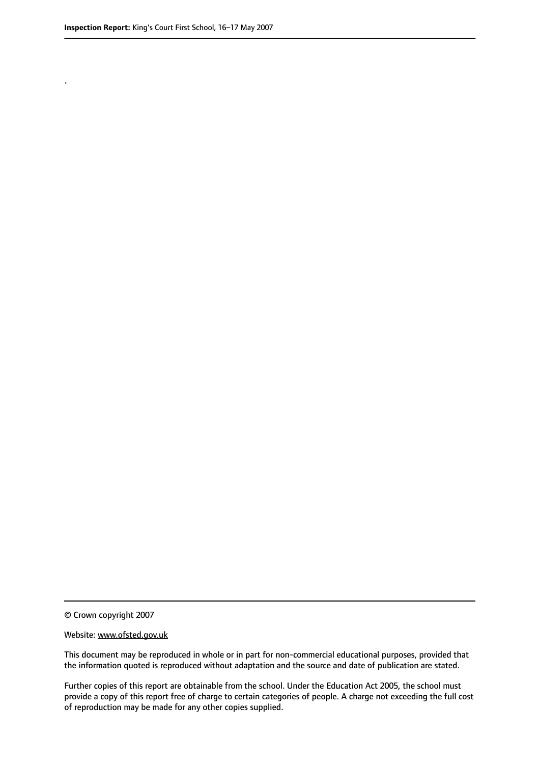.

© Crown copyright 2007

#### Website: www.ofsted.gov.uk

This document may be reproduced in whole or in part for non-commercial educational purposes, provided that the information quoted is reproduced without adaptation and the source and date of publication are stated.

Further copies of this report are obtainable from the school. Under the Education Act 2005, the school must provide a copy of this report free of charge to certain categories of people. A charge not exceeding the full cost of reproduction may be made for any other copies supplied.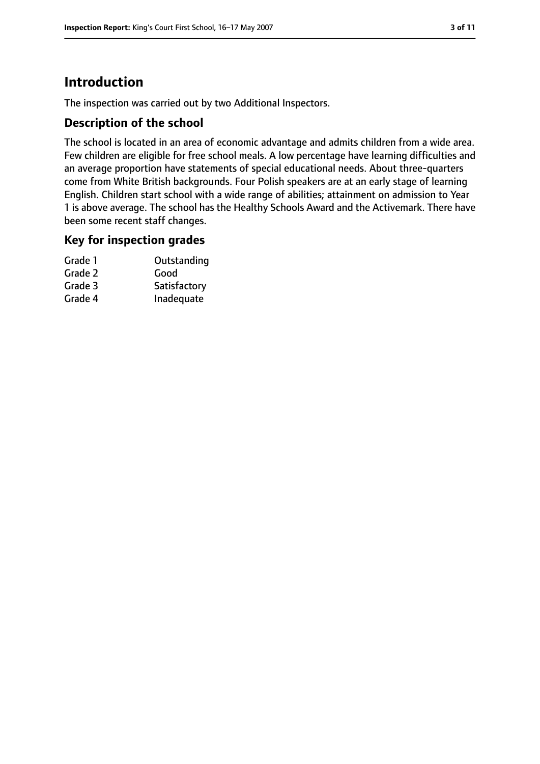# **Introduction**

The inspection was carried out by two Additional Inspectors.

## **Description of the school**

The school is located in an area of economic advantage and admits children from a wide area. Few children are eligible for free school meals. A low percentage have learning difficulties and an average proportion have statements of special educational needs. About three-quarters come from White British backgrounds. Four Polish speakers are at an early stage of learning English. Children start school with a wide range of abilities; attainment on admission to Year 1 is above average. The school has the Healthy Schools Award and the Activemark. There have been some recent staff changes.

## **Key for inspection grades**

| Grade 1 | Outstanding  |
|---------|--------------|
| Grade 2 | Good         |
| Grade 3 | Satisfactory |
| Grade 4 | Inadequate   |
|         |              |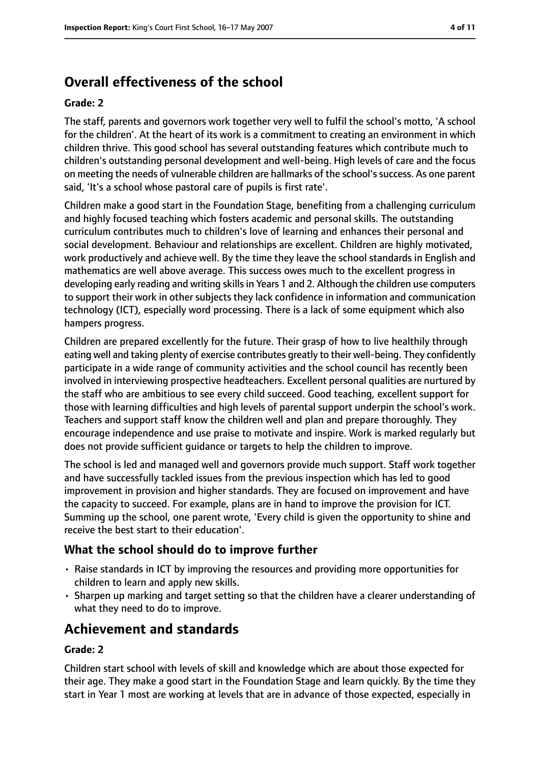# **Overall effectiveness of the school**

#### **Grade: 2**

The staff, parents and governors work together very well to fulfil the school's motto, 'A school for the children'. At the heart of its work is a commitment to creating an environment in which children thrive. This good school has several outstanding features which contribute much to children's outstanding personal development and well-being. High levels of care and the focus on meeting the needs of vulnerable children are hallmarks of the school's success. As one parent said, 'It's a school whose pastoral care of pupils is first rate'.

Children make a good start in the Foundation Stage, benefiting from a challenging curriculum and highly focused teaching which fosters academic and personal skills. The outstanding curriculum contributes much to children's love of learning and enhances their personal and social development. Behaviour and relationships are excellent. Children are highly motivated, work productively and achieve well. By the time they leave the school standards in English and mathematics are well above average. This success owes much to the excellent progress in developing early reading and writing skills in Years 1 and 2. Although the children use computers to support their work in other subjects they lack confidence in information and communication technology (ICT), especially word processing. There is a lack of some equipment which also hampers progress.

Children are prepared excellently for the future. Their grasp of how to live healthily through eating well and taking plenty of exercise contributes greatly to their well-being. They confidently participate in a wide range of community activities and the school council has recently been involved in interviewing prospective headteachers. Excellent personal qualities are nurtured by the staff who are ambitious to see every child succeed. Good teaching, excellent support for those with learning difficulties and high levels of parental support underpin the school's work. Teachers and support staff know the children well and plan and prepare thoroughly. They encourage independence and use praise to motivate and inspire. Work is marked regularly but does not provide sufficient guidance or targets to help the children to improve.

The school is led and managed well and governors provide much support. Staff work together and have successfully tackled issues from the previous inspection which has led to good improvement in provision and higher standards. They are focused on improvement and have the capacity to succeed. For example, plans are in hand to improve the provision for ICT. Summing up the school, one parent wrote, 'Every child is given the opportunity to shine and receive the best start to their education'.

## **What the school should do to improve further**

- Raise standards in ICT by improving the resources and providing more opportunities for children to learn and apply new skills.
- Sharpen up marking and target setting so that the children have a clearer understanding of what they need to do to improve.

# **Achievement and standards**

#### **Grade: 2**

Children start school with levels of skill and knowledge which are about those expected for their age. They make a good start in the Foundation Stage and learn quickly. By the time they start in Year 1 most are working at levels that are in advance of those expected, especially in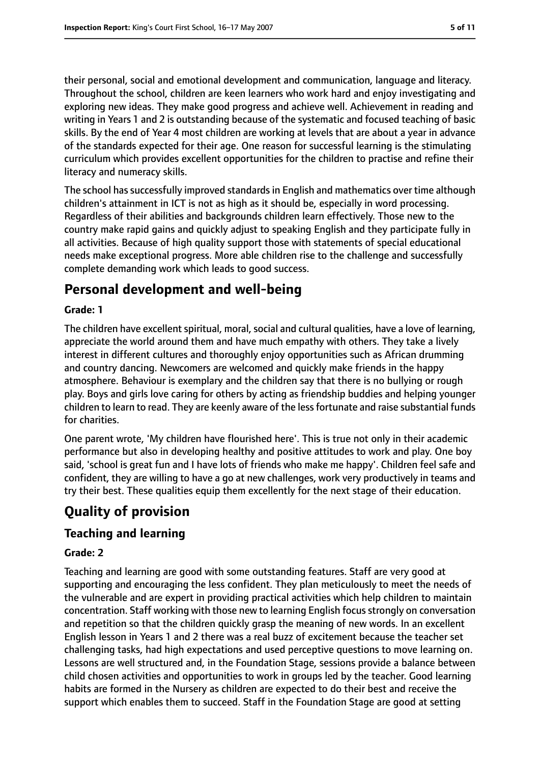their personal, social and emotional development and communication, language and literacy. Throughout the school, children are keen learners who work hard and enjoy investigating and exploring new ideas. They make good progress and achieve well. Achievement in reading and writing in Years 1 and 2 is outstanding because of the systematic and focused teaching of basic skills. By the end of Year 4 most children are working at levels that are about a year in advance of the standards expected for their age. One reason for successful learning is the stimulating curriculum which provides excellent opportunities for the children to practise and refine their literacy and numeracy skills.

The school has successfully improved standards in English and mathematics over time although children's attainment in ICT is not as high as it should be, especially in word processing. Regardless of their abilities and backgrounds children learn effectively. Those new to the country make rapid gains and quickly adjust to speaking English and they participate fully in all activities. Because of high quality support those with statements of special educational needs make exceptional progress. More able children rise to the challenge and successfully complete demanding work which leads to good success.

# **Personal development and well-being**

#### **Grade: 1**

The children have excellent spiritual, moral, social and cultural qualities, have a love of learning, appreciate the world around them and have much empathy with others. They take a lively interest in different cultures and thoroughly enjoy opportunities such as African drumming and country dancing. Newcomers are welcomed and quickly make friends in the happy atmosphere. Behaviour is exemplary and the children say that there is no bullying or rough play. Boys and girls love caring for others by acting as friendship buddies and helping younger children to learn to read. They are keenly aware of the lessfortunate and raise substantial funds for charities.

One parent wrote, 'My children have flourished here'. This is true not only in their academic performance but also in developing healthy and positive attitudes to work and play. One boy said, 'school is great fun and I have lots of friends who make me happy'. Children feel safe and confident, they are willing to have a go at new challenges, work very productively in teams and try their best. These qualities equip them excellently for the next stage of their education.

# **Quality of provision**

## **Teaching and learning**

#### **Grade: 2**

Teaching and learning are good with some outstanding features. Staff are very good at supporting and encouraging the less confident. They plan meticulously to meet the needs of the vulnerable and are expert in providing practical activities which help children to maintain concentration. Staff working with those new to learning English focus strongly on conversation and repetition so that the children quickly grasp the meaning of new words. In an excellent English lesson in Years 1 and 2 there was a real buzz of excitement because the teacher set challenging tasks, had high expectations and used perceptive questions to move learning on. Lessons are well structured and, in the Foundation Stage, sessions provide a balance between child chosen activities and opportunities to work in groups led by the teacher. Good learning habits are formed in the Nursery as children are expected to do their best and receive the support which enables them to succeed. Staff in the Foundation Stage are good at setting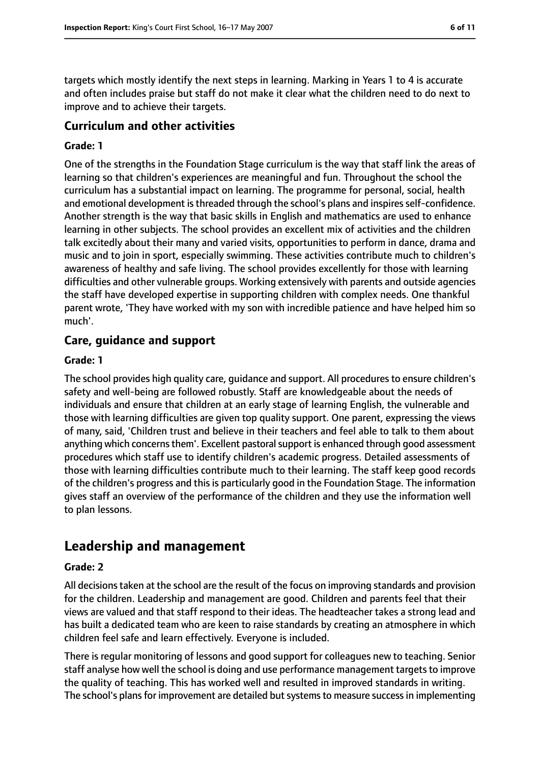targets which mostly identify the next steps in learning. Marking in Years 1 to 4 is accurate and often includes praise but staff do not make it clear what the children need to do next to improve and to achieve their targets.

## **Curriculum and other activities**

#### **Grade: 1**

One of the strengths in the Foundation Stage curriculum is the way that staff link the areas of learning so that children's experiences are meaningful and fun. Throughout the school the curriculum has a substantial impact on learning. The programme for personal, social, health and emotional development is threaded through the school's plans and inspires self-confidence. Another strength is the way that basic skills in English and mathematics are used to enhance learning in other subjects. The school provides an excellent mix of activities and the children talk excitedly about their many and varied visits, opportunities to perform in dance, drama and music and to join in sport, especially swimming. These activities contribute much to children's awareness of healthy and safe living. The school provides excellently for those with learning difficulties and other vulnerable groups. Working extensively with parents and outside agencies the staff have developed expertise in supporting children with complex needs. One thankful parent wrote, 'They have worked with my son with incredible patience and have helped him so much'.

### **Care, guidance and support**

#### **Grade: 1**

The school provides high quality care, guidance and support. All procedures to ensure children's safety and well-being are followed robustly. Staff are knowledgeable about the needs of individuals and ensure that children at an early stage of learning English, the vulnerable and those with learning difficulties are given top quality support. One parent, expressing the views of many, said, 'Children trust and believe in their teachers and feel able to talk to them about anything which concerns them'. Excellent pastoral support is enhanced through good assessment procedures which staff use to identify children's academic progress. Detailed assessments of those with learning difficulties contribute much to their learning. The staff keep good records of the children's progress and this is particularly good in the Foundation Stage. The information gives staff an overview of the performance of the children and they use the information well to plan lessons.

# **Leadership and management**

#### **Grade: 2**

All decisionstaken at the school are the result of the focus on improving standards and provision for the children. Leadership and management are good. Children and parents feel that their views are valued and that staff respond to their ideas. The headteacher takes a strong lead and has built a dedicated team who are keen to raise standards by creating an atmosphere in which children feel safe and learn effectively. Everyone is included.

There is regular monitoring of lessons and good support for colleagues new to teaching. Senior staff analyse how well the school is doing and use performance management targets to improve the quality of teaching. This has worked well and resulted in improved standards in writing. The school's plans for improvement are detailed but systems to measure success in implementing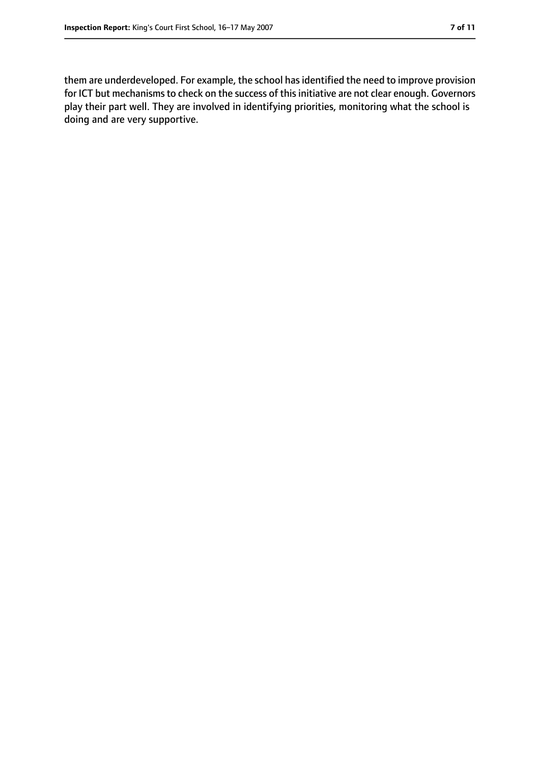them are underdeveloped. For example, the school has identified the need to improve provision for ICT but mechanisms to check on the success of this initiative are not clear enough. Governors play their part well. They are involved in identifying priorities, monitoring what the school is doing and are very supportive.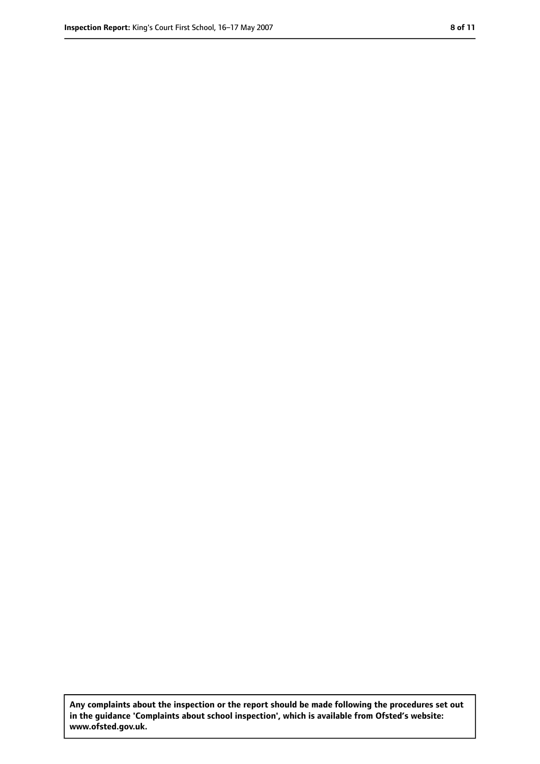**Any complaints about the inspection or the report should be made following the procedures set out in the guidance 'Complaints about school inspection', which is available from Ofsted's website: www.ofsted.gov.uk.**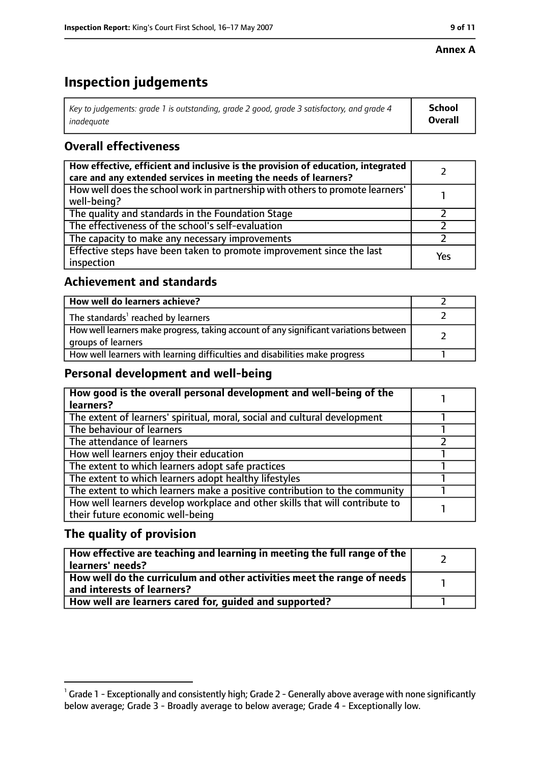#### **Annex A**

# **Inspection judgements**

| Key to judgements: grade 1 is outstanding, grade 2 good, grade 3 satisfactory, and grade 4 | <b>School</b>  |
|--------------------------------------------------------------------------------------------|----------------|
| inadeauate                                                                                 | <b>Overall</b> |

# **Overall effectiveness**

| How effective, efficient and inclusive is the provision of education, integrated<br>care and any extended services in meeting the needs of learners? |     |
|------------------------------------------------------------------------------------------------------------------------------------------------------|-----|
| How well does the school work in partnership with others to promote learners'<br>well-being?                                                         |     |
| The quality and standards in the Foundation Stage                                                                                                    |     |
| The effectiveness of the school's self-evaluation                                                                                                    |     |
| The capacity to make any necessary improvements                                                                                                      |     |
| Effective steps have been taken to promote improvement since the last<br>inspection                                                                  | Yes |

## **Achievement and standards**

| How well do learners achieve?                                                                               |  |
|-------------------------------------------------------------------------------------------------------------|--|
| The standards <sup>1</sup> reached by learners                                                              |  |
| How well learners make progress, taking account of any significant variations between<br>groups of learners |  |
| How well learners with learning difficulties and disabilities make progress                                 |  |

## **Personal development and well-being**

| How good is the overall personal development and well-being of the<br>learners? |  |
|---------------------------------------------------------------------------------|--|
|                                                                                 |  |
| The extent of learners' spiritual, moral, social and cultural development       |  |
| The behaviour of learners                                                       |  |
| The attendance of learners                                                      |  |
| How well learners enjoy their education                                         |  |
| The extent to which learners adopt safe practices                               |  |
| The extent to which learners adopt healthy lifestyles                           |  |
| The extent to which learners make a positive contribution to the community      |  |
| How well learners develop workplace and other skills that will contribute to    |  |
| their future economic well-being                                                |  |

# **The quality of provision**

| How effective are teaching and learning in meeting the full range of the<br>learners' needs?          |  |
|-------------------------------------------------------------------------------------------------------|--|
| How well do the curriculum and other activities meet the range of needs<br>and interests of learners? |  |
| How well are learners cared for, quided and supported?                                                |  |

 $^1$  Grade 1 - Exceptionally and consistently high; Grade 2 - Generally above average with none significantly below average; Grade 3 - Broadly average to below average; Grade 4 - Exceptionally low.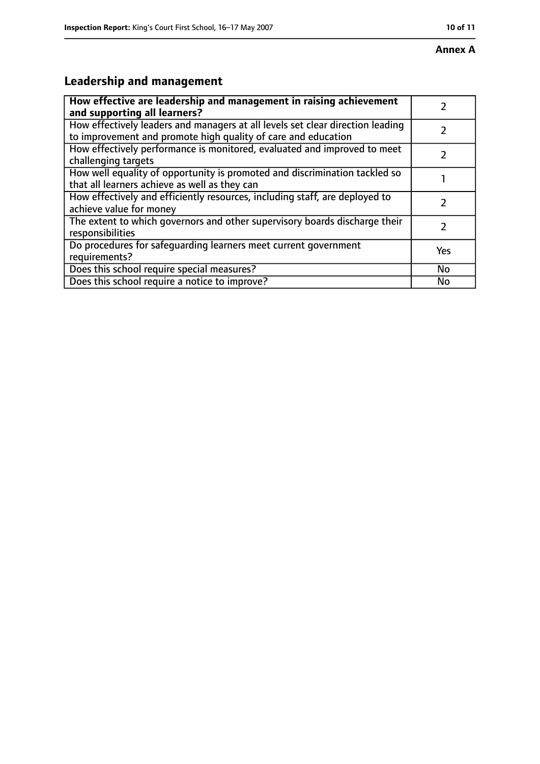# **Leadership and management**

| How effective are leadership and management in raising achievement<br>and supporting all learners?                                              |           |
|-------------------------------------------------------------------------------------------------------------------------------------------------|-----------|
| How effectively leaders and managers at all levels set clear direction leading<br>to improvement and promote high quality of care and education |           |
| How effectively performance is monitored, evaluated and improved to meet<br>challenging targets                                                 |           |
| How well equality of opportunity is promoted and discrimination tackled so<br>that all learners achieve as well as they can                     |           |
| How effectively and efficiently resources, including staff, are deployed to<br>achieve value for money                                          |           |
| The extent to which governors and other supervisory boards discharge their<br>responsibilities                                                  | 7         |
| Do procedures for safequarding learners meet current government<br>requirements?                                                                | Yes       |
| Does this school require special measures?                                                                                                      | <b>No</b> |
| Does this school require a notice to improve?                                                                                                   | Nο        |